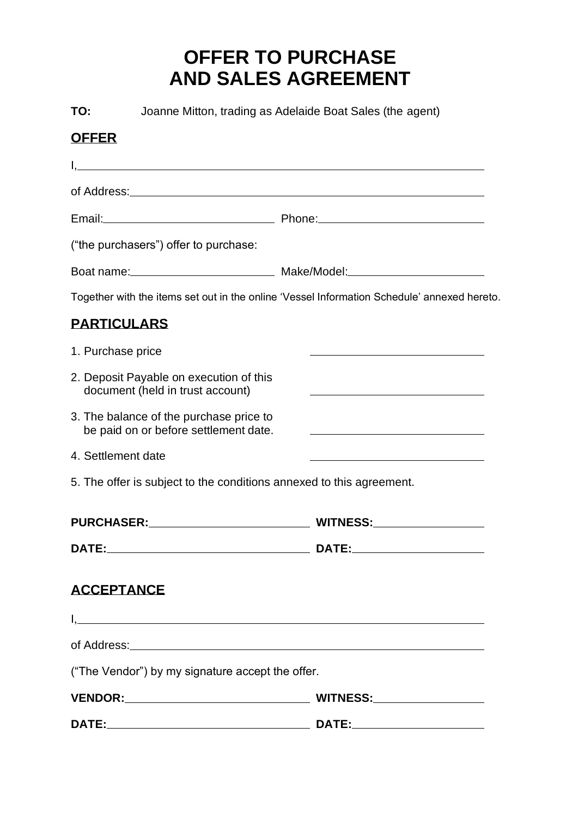## **OFFER TO PURCHASE AND SALES AGREEMENT**

**TO:** Joanne Mitton, trading as Adelaide Boat Sales (the agent)

## **OFFER**

|                                                                                                                                                                                                                                | Email: 2008. Phone: 2008. Phone: 2008. Phone: 2008. 2018. 2019. 2019. 2019. 2019. 2019. 2019. 2019. 2019. 2019 |
|--------------------------------------------------------------------------------------------------------------------------------------------------------------------------------------------------------------------------------|----------------------------------------------------------------------------------------------------------------|
| ("the purchasers") offer to purchase:                                                                                                                                                                                          |                                                                                                                |
|                                                                                                                                                                                                                                |                                                                                                                |
|                                                                                                                                                                                                                                | Together with the items set out in the online 'Vessel Information Schedule' annexed hereto.                    |
| <b>PARTICULARS</b>                                                                                                                                                                                                             |                                                                                                                |
| 1. Purchase price                                                                                                                                                                                                              |                                                                                                                |
| 2. Deposit Payable on execution of this<br>document (held in trust account)                                                                                                                                                    |                                                                                                                |
| 3. The balance of the purchase price to<br>be paid on or before settlement date.                                                                                                                                               |                                                                                                                |
| 4. Settlement date                                                                                                                                                                                                             |                                                                                                                |
| 5. The offer is subject to the conditions annexed to this agreement.                                                                                                                                                           |                                                                                                                |
|                                                                                                                                                                                                                                |                                                                                                                |
|                                                                                                                                                                                                                                |                                                                                                                |
| <b>ACCEPTANCE</b>                                                                                                                                                                                                              |                                                                                                                |
|                                                                                                                                                                                                                                |                                                                                                                |
| of Address: Universe and Secretary and Secretary and Secretary and Secretary and Secretary and Secretary and Secretary and Secretary and Secretary and Secretary and Secretary and Secretary and Secretary and Secretary and S |                                                                                                                |
| ("The Vendor") by my signature accept the offer.                                                                                                                                                                               |                                                                                                                |
| <b>VENDOR:</b>                                                                                                                                                                                                                 |                                                                                                                |
| <b>DATE:</b><br><u> 1989 - Johann Stoff, fransk politik (d. 1989)</u>                                                                                                                                                          | DATE:___                                                                                                       |